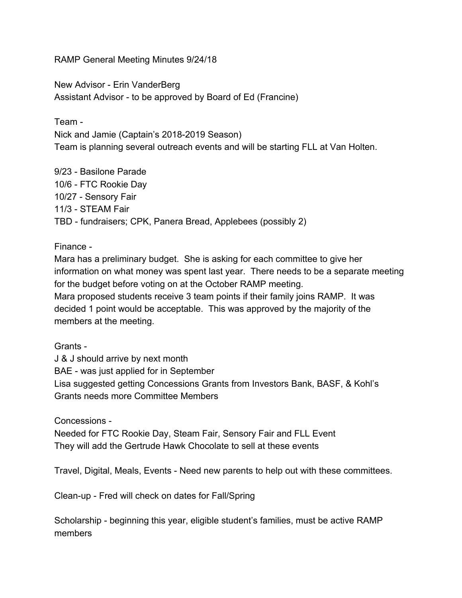RAMP General Meeting Minutes 9/24/18

New Advisor - Erin VanderBerg Assistant Advisor - to be approved by Board of Ed (Francine)

Team -

Nick and Jamie (Captain's 2018-2019 Season) Team is planning several outreach events and will be starting FLL at Van Holten.

9/23 - Basilone Parade 10/6 - FTC Rookie Day 10/27 - Sensory Fair 11/3 - STEAM Fair TBD - fundraisers; CPK, Panera Bread, Applebees (possibly 2)

Finance -

Mara has a preliminary budget. She is asking for each committee to give her information on what money was spent last year. There needs to be a separate meeting for the budget before voting on at the October RAMP meeting. Mara proposed students receive 3 team points if their family joins RAMP. It was decided 1 point would be acceptable. This was approved by the majority of the members at the meeting.

Grants -

J & J should arrive by next month BAE - was just applied for in September Lisa suggested getting Concessions Grants from Investors Bank, BASF, & Kohl's Grants needs more Committee Members

Concessions -

Needed for FTC Rookie Day, Steam Fair, Sensory Fair and FLL Event They will add the Gertrude Hawk Chocolate to sell at these events

Travel, Digital, Meals, Events - Need new parents to help out with these committees.

Clean-up - Fred will check on dates for Fall/Spring

Scholarship - beginning this year, eligible student's families, must be active RAMP members